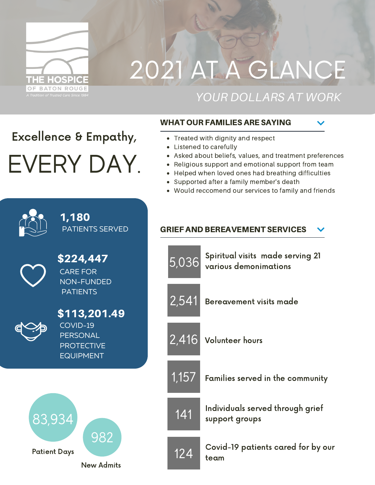

# 2021 AT A GLANCE

### *YOUR DOLLARS AT WORK*

## Excellence & Empathy, EVERY DAY.



1,180 PATIENTS SERVED



\$224,447 CARE FOR NON-FUNDED PATIENTS

\$113,201.49 COVID-19 PERSONAL PROTECTIVE EQUIPMENT



#### WHAT OUR FAMILIES ARE SAYING

- Treated with dignity and respect
- Listened to carefully
- Asked about beliefs, values, and treatment preferences
- Religious support and emotional support from team
- Helped when loved ones had breathing difficulties
- Supported after a family member's death
- Would reccomend our services to family and friends

#### GRIEF AND BEREAVEMENT SERVICES

| 5,036         | Spiritual visits made serving 21<br>various demonimations |
|---------------|-----------------------------------------------------------|
| 2,541         | Bereavement visits made                                   |
|               | 2.416 Volunteer hours                                     |
| <u>1</u> ,157 | Families served in the community                          |
| 141           | Individuals served through grief<br>support groups        |
| 124           | Covid-19 patients cared for by our<br>team                |